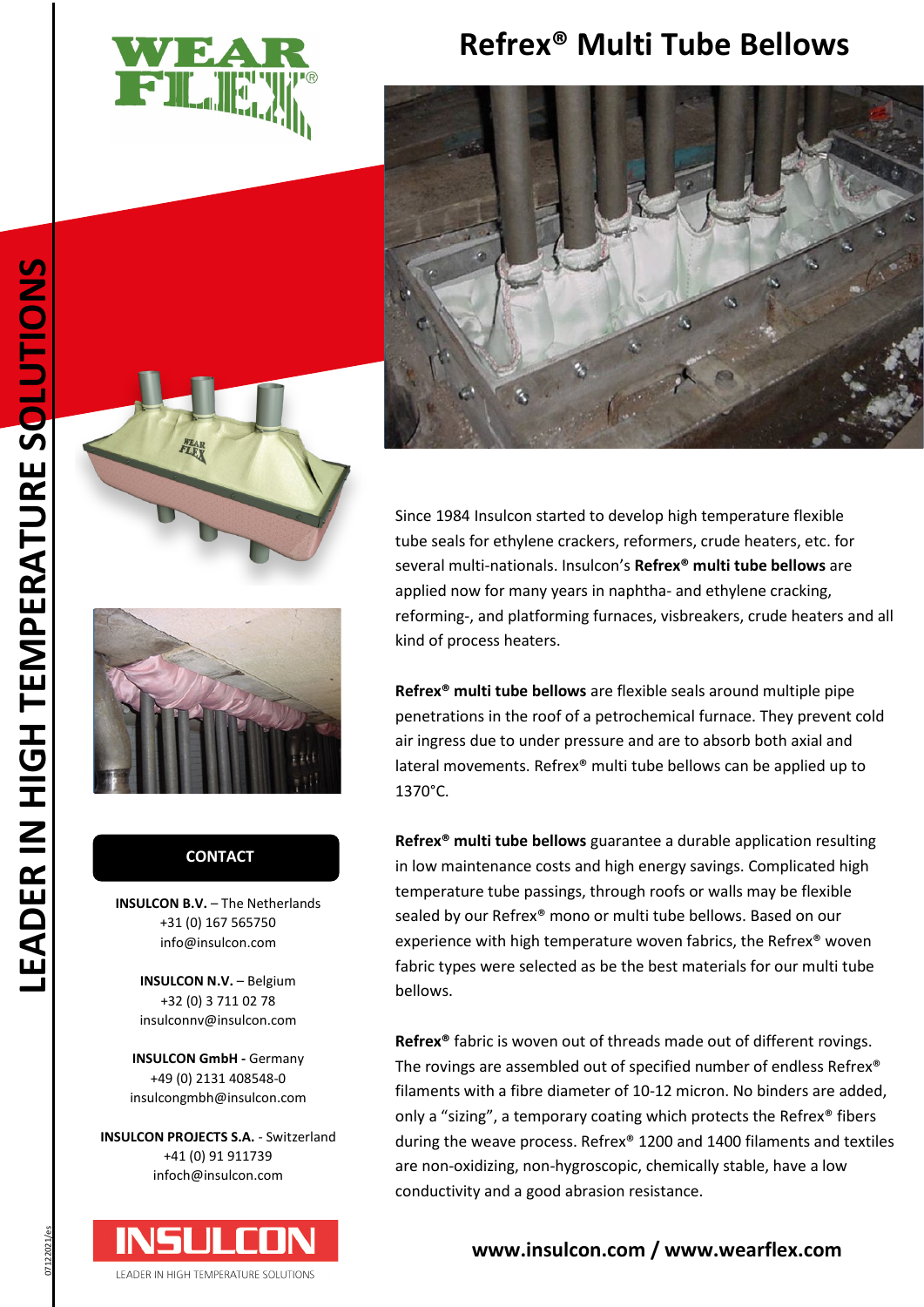

## **Refrex® Multi Tube Bellows**







### **CONTACT CONTACT**

**INSULCON B.V.** - The Netherlands +31 (0) 167 565750 info@insulcon.com

> **INSULCON N.V. - Belgium** +32 (0) 3 711 02 78 insulconnv@insulcon.com

**INSULCON GmbH -** Germany +49 (0) 2131 408548-0 insulcongmbh@insulcon.com

**INSULCON PROJECTS S.A.** - Switzerland +41 (0) 91 911739 infoch@insulcon.com



Since 1984 Insulcon started to develop high temperature flexible tube seals for ethylene crackers, reformers, crude heaters, etc. for several multi-nationals. Insulcon's **Refrex® multi tube bellows** are applied now for many years in naphtha- and ethylene cracking, reforming-, and platforming furnaces, visbreakers, crude heaters and all kind of process heaters.

**Refrex® multi tube bellows** are flexible seals around multiple pipe penetrations in the roof of a petrochemical furnace. They prevent cold air ingress due to under pressure and are to absorb both axial and lateral movements. Refrex® multi tube bellows can be applied up to 1370°C.

**Refrex® multi tube bellows** guarantee a durable application resulting in low maintenance costs and high energy savings. Complicated high temperature tube passings, through roofs or walls may be flexible sealed by our Refrex® mono or multi tube bellows. Based on our experience with high temperature woven fabrics, the Refrex® woven fabric types were selected as be the best materials for our multi tube bellows.

**Refrex®** fabric is woven out of threads made out of different rovings. The rovings are assembled out of specified number of endless Refrex® filaments with a fibre diameter of 10-12 micron. No binders are added, only a "sizing", a temporary coating which protects the Refrex® fibers during the weave process. Refrex® 1200 and 1400 filaments and textiles are non-oxidizing, non-hygroscopic, chemically stable, have a low conductivity and a good abrasion resistance.

## **[www.insulcon.com](http://www.insulcon.com/) / www.wearflex.com**